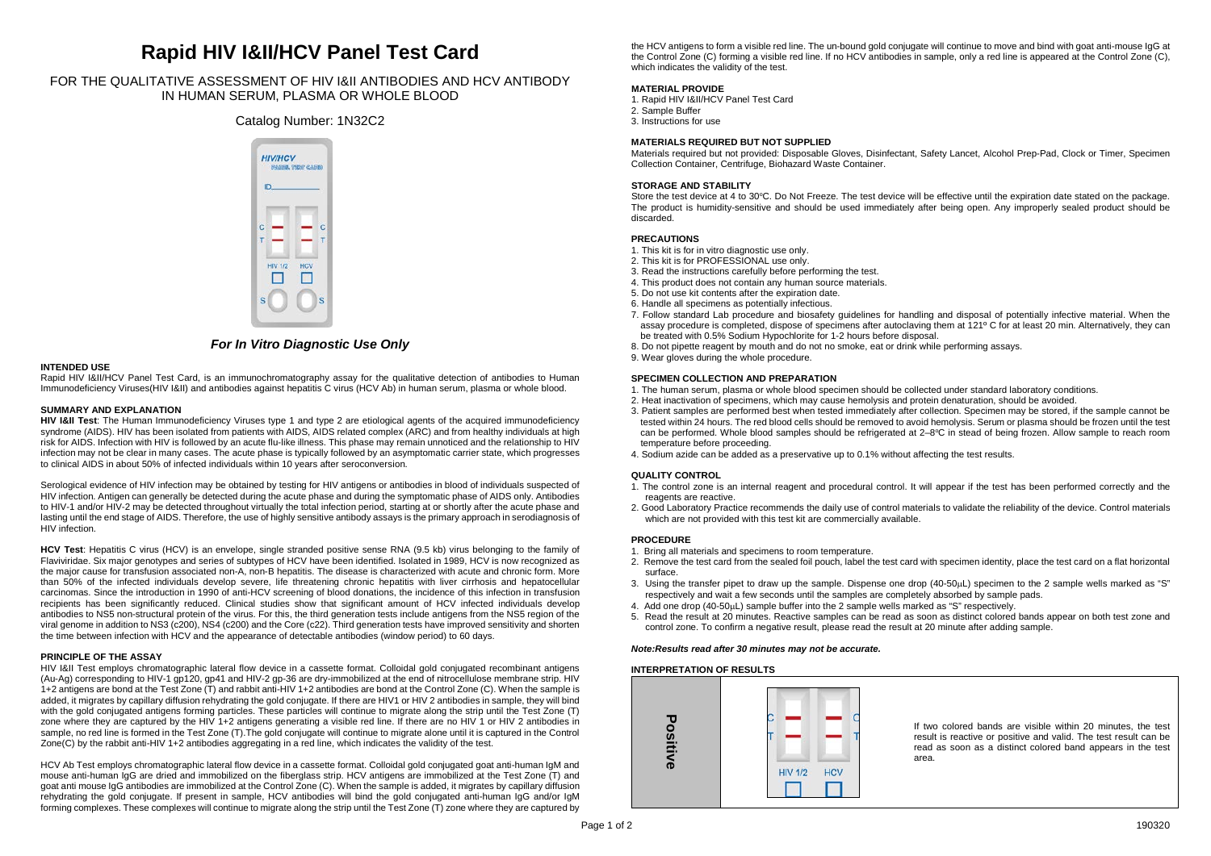# **Rapid HIV I&II/HCV Panel Test Card**

# FOR THE QUALITATIVE ASSESSMENT OF HIV I&II ANTIBODIES AND HCV ANTIBODY IN HUMAN SERUM, PLASMA OR WHOLE BLOOD

# Catalog Number: 1N32C2



# *For In Vitro Diagnostic Use Only*

#### **INTENDED USE**

Rapid HIV I&II/HCV Panel Test Card, is an immunochromatography assay for the qualitative detection of antibodies to Human Immunodeficiency Viruses(HIV I&II) and antibodies against hepatitis C virus (HCV Ab) in human serum, plasma or whole blood.

### **SUMMARY AND EXPLANATION**

**HIV I&II Test**: The Human Immunodeficiency Viruses type 1 and type 2 are etiological agents of the acquired immunodeficiency syndrome (AIDS). HIV has been isolated from patients with AIDS, AIDS related complex (ARC) and from healthy individuals at high risk for AIDS. Infection with HIV is followed by an acute flu-like illness. This phase may remain unnoticed and the relationship to HIV infection may not be clear in many cases. The acute phase is typically followed by an asymptomatic carrier state, which progresses to clinical AIDS in about 50% of infected individuals within 10 years after seroconversion.

Serological evidence of HIV infection may be obtained by testing for HIV antigens or antibodies in blood of individuals suspected of HIV infection. Antigen can generally be detected during the acute phase and during the symptomatic phase of AIDS only. Antibodies to HIV-1 and/or HIV-2 may be detected throughout virtually the total infection period, starting at or shortly after the acute phase and lasting until the end stage of AIDS. Therefore, the use of highly sensitive antibody assays is the primary approach in serodiagnosis of HIV infection.

**HCV Test**: Hepatitis C virus (HCV) is an envelope, single stranded positive sense RNA (9.5 kb) virus belonging to the family of Flaviviridae. Six major genotypes and series of subtypes of HCV have been identified. Isolated in 1989, HCV is now recognized as the major cause for transfusion associated non-A, non-B hepatitis. The disease is characterized with acute and chronic form. More than 50% of the infected individuals develop severe, life threatening chronic hepatitis with liver cirrhosis and hepatocellular carcinomas. Since the introduction in 1990 of anti-HCV screening of blood donations, the incidence of this infection in transfusion recipients has been significantly reduced. Clinical studies show that significant amount of HCV infected individuals develop antibodies to NS5 non-structural protein of the virus. For this, the third generation tests include antigens from the NS5 region of the viral genome in addition to NS3 (c200), NS4 (c200) and the Core (c22). Third generation tests have improved sensitivity and shorten the time between infection with HCV and the appearance of detectable antibodies (window period) to 60 days.

#### **PRINCIPLE OF THE ASSAY**

HIV I&II Test employs chromatographic lateral flow device in a cassette format. Colloidal gold conjugated recombinant antigens (Au-Ag) corresponding to HIV-1 gp120, gp41 and HIV-2 gp-36 are dry-immobilized at the end of nitrocellulose membrane strip. HIV 1+2 antigens are bond at the Test Zone (T) and rabbit anti-HIV 1+2 antibodies are bond at the Control Zone (C). When the sample is added, it migrates by capillary diffusion rehydrating the gold conjugate. If there are HIV1 or HIV 2 antibodies in sample, they will bind with the gold conjugated antigens forming particles. These particles will continue to migrate along the strip until the Test Zone (T) zone where they are captured by the HIV 1+2 antigens generating a visible red line. If there are no HIV 1 or HIV 2 antibodies in sample, no red line is formed in the Test Zone (T).The gold conjugate will continue to migrate alone until it is captured in the Control Zone(C) by the rabbit anti-HIV 1+2 antibodies aggregating in a red line, which indicates the validity of the test.

HCV Ab Test employs chromatographic lateral flow device in a cassette format. Colloidal gold conjugated goat anti-human IgM and mouse anti-human IgG are dried and immobilized on the fiberglass strip. HCV antigens are immobilized at the Test Zone (T) and goat anti mouse IgG antibodies are immobilized at the Control Zone (C). When the sample is added, it migrates by capillary diffusion rehydrating the gold conjugate. If present in sample, HCV antibodies will bind the gold conjugated anti-human IgG and/or IgM forming complexes. These complexes will continue to migrate along the strip until the Test Zone (T) zone where they are captured by the HCV antigens to form a visible red line. The un-bound gold conjugate will continue to move and bind with goat anti-mouse IgG at the Control Zone (C) forming a visible red line. If no HCV antibodies in sample, only a red line is appeared at the Control Zone (C), which indicates the validity of the test.

# **MATERIAL PROVIDE**

- 1. Rapid HIV I&II/HCV Panel Test Card
- 2. Sample Buffer
- 3. Instructions for use

## **MATERIALS REQUIRED BUT NOT SUPPLIED**

Materials required but not provided: Disposable Gloves, Disinfectant, Safety Lancet, Alcohol Prep-Pad, Clock or Timer, Specimen Collection Container, Centrifuge, Biohazard Waste Container.

#### **STORAGE AND STABILITY**

Store the test device at 4 to 30°C. Do Not Freeze. The test device will be effective until the expiration date stated on the package. The product is humidity-sensitive and should be used immediately after being open. Any improperly sealed product should be discarded.

## **PRECAUTIONS**

- 1. This kit is for in vitro diagnostic use only.
- 2. This kit is for PROFESSIONAL use only.
- 3. Read the instructions carefully before performing the test.
- 4. This product does not contain any human source materials.
- 5. Do not use kit contents after the expiration date.
- 6. Handle all specimens as potentially infectious.
- 7. Follow standard Lab procedure and biosafety guidelines for handling and disposal of potentially infective material. When the assay procedure is completed, dispose of specimens after autoclaving them at 121º C for at least 20 min. Alternatively, they can be treated with 0.5% Sodium Hypochlorite for 1-2 hours before disposal.
- 8. Do not pipette reagent by mouth and do not no smoke, eat or drink while performing assays.
- 9. Wear gloves during the whole procedure.

### **SPECIMEN COLLECTION AND PREPARATION**

- 1. The human serum, plasma or whole blood specimen should be collected under standard laboratory conditions.
- 2. Heat inactivation of specimens, which may cause hemolysis and protein denaturation, should be avoided.
- 3. Patient samples are performed best when tested immediately after collection. Specimen may be stored, if the sample cannot be tested within 24 hours. The red blood cells should be removed to avoid hemolysis. Serum or plasma should be frozen until the test can be performed. Whole blood samples should be refrigerated at  $2-8$ °C in stead of being frozen. Allow sample to reach room temperature before proceeding.
- 4. Sodium azide can be added as a preservative up to 0.1% without affecting the test results.

# **QUALITY CONTROL**

- 1. The control zone is an internal reagent and procedural control. It will appear if the test has been performed correctly and the reagents are reactive.
- 2. Good Laboratory Practice recommends the daily use of control materials to validate the reliability of the device. Control materials which are not provided with this test kit are commercially available.

#### **PROCEDURE**

- 1. Bring all materials and specimens to room temperature.
- 2. Remove the test card from the sealed foil pouch, label the test card with specimen identity, place the test card on a flat horizontal surface.
- 3. Using the transfer pipet to draw up the sample. Dispense one drop (40-50µL) specimen to the 2 sample wells marked as "S" respectively and wait a few seconds until the samples are completely absorbed by sample pads.
- 4. Add one drop (40-50µL) sample buffer into the 2 sample wells marked as "S" respectively.
- 5. Read the result at 20 minutes. Reactive samples can be read as soon as distinct colored bands appear on both test zone and control zone. To confirm a negative result, please read the result at 20 minute after adding sample.

#### *Note:Results read after 30 minutes may not be accurate.*

#### **INTERPRETATION OF RESULTS**